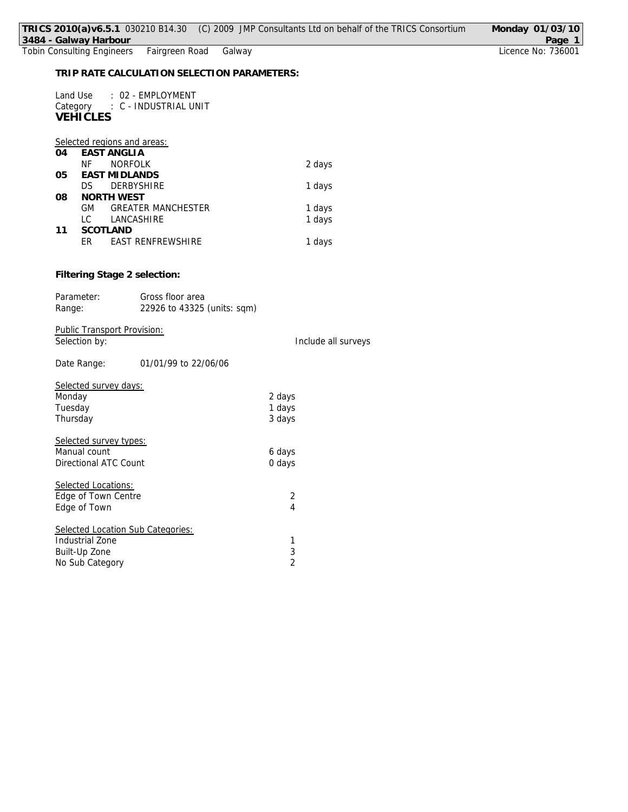| 3484 - Galway Harbour                                       |                                                     | TRICS 2010(a)v6.5.1 030210 B14.30 (C) 2009 JMP Consultants Ltd on behalf of the TRICS Consortium | Monday 01/03/10<br>Page 1 |
|-------------------------------------------------------------|-----------------------------------------------------|--------------------------------------------------------------------------------------------------|---------------------------|
| <b>Tobin Consulting Engineers</b>                           | Fairgreen Road<br>Galway                            |                                                                                                  | Licence No: 736001        |
|                                                             | TRIP RATE CALCULATION SELECTION PARAMETERS:         |                                                                                                  |                           |
| Land Use<br><b>VEHICLES</b>                                 | : 02 - EMPLOYMENT<br>Category : C - INDUSTRIAL UNIT |                                                                                                  |                           |
| Selected regions and areas:<br><b>EAST ANGLIA</b><br>04     |                                                     |                                                                                                  |                           |
| <b>NF</b>                                                   | <b>NORFOLK</b>                                      | 2 days                                                                                           |                           |
| <b>EAST MIDLANDS</b><br>05<br><b>DS</b><br>08<br>NORTH WEST | DERBYSHIRE                                          | 1 days                                                                                           |                           |
| GM<br>LC                                                    | <b>GREATER MANCHESTER</b><br>LANCASHIRE             | 1 days<br>1 days                                                                                 |                           |
| SCOTLAND<br>11<br>ER                                        | EAST RENFREWSHIRE                                   | 1 days                                                                                           |                           |
| Filtering Stage 2 selection:<br>Parameter:                  | Gross floor area                                    |                                                                                                  |                           |
| Range:                                                      | 22926 to 43325 (units: sqm)                         |                                                                                                  |                           |
| Public Transport Provision:<br>Selection by:                |                                                     | Include all surveys                                                                              |                           |
| Date Range:                                                 | 01/01/99 to 22/06/06                                |                                                                                                  |                           |
| Selected survey days:                                       |                                                     |                                                                                                  |                           |
| Monday                                                      |                                                     | 2 days                                                                                           |                           |
| Tuesday<br>Thursday                                         |                                                     | 1 days<br>3 days                                                                                 |                           |
|                                                             |                                                     |                                                                                                  |                           |
| Selected survey types:<br>Manual count                      |                                                     |                                                                                                  |                           |
| <b>Directional ATC Count</b>                                |                                                     | 6 days<br>0 days                                                                                 |                           |
| Selected Locations:                                         |                                                     |                                                                                                  |                           |
| Edge of Town Centre                                         |                                                     | 2                                                                                                |                           |
| Edge of Town                                                |                                                     | $\overline{4}$                                                                                   |                           |
| Selected Location Sub Categories:                           |                                                     |                                                                                                  |                           |
| <b>Industrial Zone</b>                                      |                                                     | 1                                                                                                |                           |
| Built-Up Zone                                               |                                                     | 3<br>$\overline{2}$                                                                              |                           |
| No Sub Category                                             |                                                     |                                                                                                  |                           |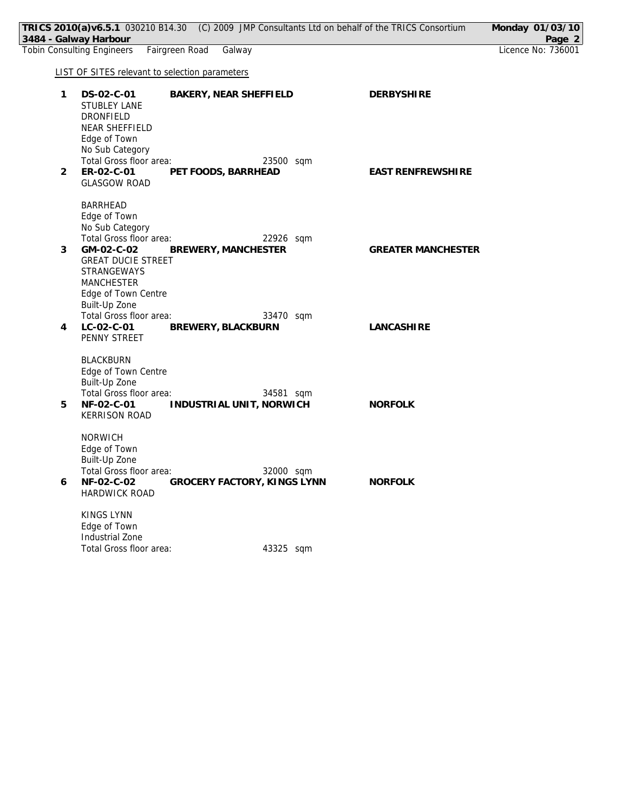|                | TRICS 2010(a)v6.5.1 030210 B14.30 (C) 2009 JMP Consultants Ltd on behalf of the TRICS Consortium<br>3484 - Galway Harbour                                                    |                                          |                           | Monday 01/03/10<br>Page 2 |
|----------------|------------------------------------------------------------------------------------------------------------------------------------------------------------------------------|------------------------------------------|---------------------------|---------------------------|
|                | Fairgreen Road<br><b>Tobin Consulting Engineers</b>                                                                                                                          | Galway                                   |                           | Licence No: 736001        |
|                | <b>LIST OF SITES relevant to selection parameters</b>                                                                                                                        |                                          |                           |                           |
| $\mathbf{1}$   | DS-02-C-01<br>STUBLEY LANE<br><b>DRONFIELD</b><br>NEAR SHEFFIELD<br>Edge of Town<br>No Sub Category                                                                          | BAKERY, NEAR SHEFFIELD                   | <b>DERBYSHIRE</b>         |                           |
| $\overline{2}$ | Total Gross floor area:<br>ER-02-C-01<br><b>GLASGOW ROAD</b>                                                                                                                 | 23500 sqm<br>PET FOODS, BARRHEAD         | <b>EAST RENFREWSHIRE</b>  |                           |
| 3              | <b>BARRHEAD</b><br>Edge of Town<br>No Sub Category<br>Total Gross floor area:<br>GM-02-C-02<br><b>GREAT DUCIE STREET</b><br>STRANGEWAYS<br>MANCHESTER<br>Edge of Town Centre | 22926 sqm<br>BREWERY, MANCHESTER         | <b>GREATER MANCHESTER</b> |                           |
| 4              | Built-Up Zone<br>Total Gross floor area:<br>LC-02-C-01<br>PENNY STREET                                                                                                       | 33470 sqm<br>BREWERY, BLACKBURN          | <b>LANCASHIRE</b>         |                           |
| 5              | <b>BLACKBURN</b><br>Edge of Town Centre<br>Built-Up Zone<br>Total Gross floor area:<br>NF-02-C-01<br><b>KERRISON ROAD</b>                                                    | 34581 sqm<br>INDUSTRIAL UNIT, NORWICH    | <b>NORFOLK</b>            |                           |
| 6              | <b>NORWICH</b><br>Edge of Town<br>Built-Up Zone<br>Total Gross floor area:<br>NF-02-C-02<br><b>HARDWICK ROAD</b>                                                             | 32000 sqm<br>GROCERY FACTORY, KINGS LYNN | <b>NORFOLK</b>            |                           |
|                | KINGS LYNN<br>Edge of Town<br>Industrial Zone<br>Total Gross floor area:                                                                                                     | 43325 sqm                                |                           |                           |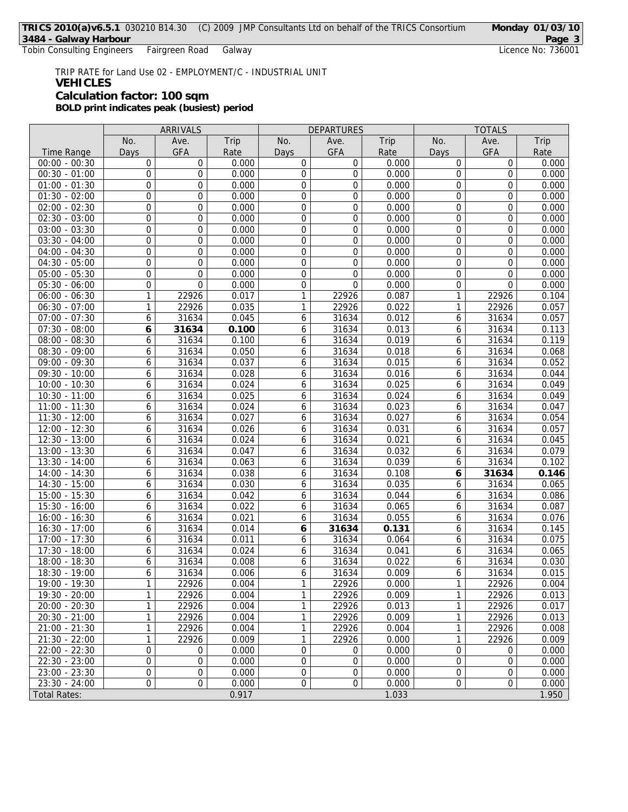Tobin Consulting Engineers Fairgreen Road Galway

## TRIP RATE for Land Use 02 - EMPLOYMENT/C - INDUSTRIAL UNIT **VEHICLES Calculation factor: 100 sqm BOLD print indicates peak (busiest) period**

|                            |                  | ARRIVALS       |       | <b>DEPARTURES</b> |            | <b>TOTALS</b> |              |                  |       |
|----------------------------|------------------|----------------|-------|-------------------|------------|---------------|--------------|------------------|-------|
|                            | No.              | Ave.           | Trip  | No.               | Ave.       | Trip          | No.          | Ave.             | Trip  |
| <b>Time Range</b>          | Days             | <b>GFA</b>     | Rate  | Days              | <b>GFA</b> | Rate          | Days         | <b>GFA</b>       | Rate  |
| $00:00 - 00:30$            | 0                | 0              | 0.000 | 0                 | 0          | 0.000         | 0            | 0                | 0.000 |
| $00:30 - 01:00$            | $\mathbf 0$      | 0              | 0.000 | $\overline{0}$    | 0          | 0.000         | 0            | $\mathbf 0$      | 0.000 |
| $01:00 - 01:30$            | $\boldsymbol{0}$ | 0              | 0.000 | $\mathbf 0$       | 0          | 0.000         | 0            | $\mathbf 0$      | 0.000 |
| $01:30 - 02:00$            | 0                | $\overline{0}$ | 0.000 | $\mathbf 0$       | 0          | 0.000         | 0            | $\overline{0}$   | 0.000 |
| $02:00 - 02:30$            | $\mathbf 0$      | 0              | 0.000 | $\boldsymbol{0}$  | 0          | 0.000         | 0            | $\mathbf 0$      | 0.000 |
| $02:30 - 03:00$            | 0                | 0              | 0.000 | 0                 | 0          | 0.000         | 0            | $\mathbf 0$      | 0.000 |
| $03:00 - 03:30$            | 0                | 0              | 0.000 | $\boldsymbol{0}$  | 0          | 0.000         | 0            | $\mathbf 0$      | 0.000 |
| $03:30 - 04:00$            | $\boldsymbol{0}$ | 0              | 0.000 | $\boldsymbol{0}$  | 0          | 0.000         | 0            | $\boldsymbol{0}$ | 0.000 |
| $04:00 - 04:30$            | 0                | $\overline{0}$ | 0.000 | $\mathbf 0$       | 0          | 0.000         | 0            | $\overline{0}$   | 0.000 |
| $04:30 - 05:00$            | $\boldsymbol{0}$ | 0              | 0.000 | $\boldsymbol{0}$  | 0          | 0.000         | 0            | $\mathbf 0$      | 0.000 |
| $05:00 - 05:30$            | 0                | 0              | 0.000 | 0                 | 0          | 0.000         | 0            | $\mathbf 0$      | 0.000 |
| $05:30 - 06:00$            | 0                | 0              | 0.000 | $\mathbf 0$       | 0          | 0.000         | 0            | $\mathbf 0$      | 0.000 |
| $06:00 - 06:30$            | $\mathbf{1}$     | 22926          | 0.017 | $\mathbf{1}$      | 22926      | 0.087         | 1            | 22926            | 0.104 |
| $06:30 - 07:00$            | 1                | 22926          | 0.035 | 1                 | 22926      | 0.022         | 1            | 22926            | 0.057 |
| $07:00 - 07:30$            | 6                | 31634          | 0.045 | 6                 | 31634      | 0.012         | 6            | 31634            | 0.057 |
| $07:30 - 08:00$            | 6                | 31634          | 0.100 | 6                 | 31634      | 0.013         | 6            | 31634            | 0.113 |
| $08:00 - 08:30$            | 6                | 31634          | 0.100 | 6                 | 31634      | 0.019         | 6            | 31634            | 0.119 |
| $08:30 - 09:00$            | 6                | 31634          | 0.050 | 6                 | 31634      | 0.018         | 6            | 31634            | 0.068 |
| 09:00 - 09:30              | 6                | 31634          | 0.037 | 6                 | 31634      | 0.015         | 6            | 31634            | 0.052 |
| $\overline{09:}30 - 10:00$ | 6                | 31634          | 0.028 | 6                 | 31634      | 0.016         | 6            | 31634            | 0.044 |
| $10:00 - 10:30$            | 6                | 31634          | 0.024 | 6                 | 31634      | 0.025         | 6            | 31634            | 0.049 |
| $10:30 - 11:00$            | 6                | 31634          | 0.025 | 6                 | 31634      | 0.024         | 6            | 31634            | 0.049 |
| $11:00 - 11:30$            | 6                | 31634          | 0.024 | 6                 | 31634      | 0.023         | 6            | 31634            | 0.047 |
| $11:30 - 12:00$            | 6                | 31634          | 0.027 | 6                 | 31634      | 0.027         | 6            | 31634            | 0.054 |
| 12:00 - 12:30              | 6                | 31634          | 0.026 | 6                 | 31634      | 0.031         | 6            | 31634            | 0.057 |
| $12:30 - 13:00$            | 6                | 31634          | 0.024 | 6                 | 31634      | 0.021         | 6            | 31634            | 0.045 |
| $13:00 - 13:30$            | 6                | 31634          | 0.047 | 6                 | 31634      | 0.032         | 6            | 31634            | 0.079 |
| $13:30 - 14:00$            | 6                | 31634          | 0.063 | 6                 | 31634      | 0.039         | 6            | 31634            | 0.102 |
| 14:00 - 14:30              | 6                | 31634          | 0.038 | 6                 | 31634      | 0.108         | 6            | 31634            | 0.146 |
| $14:30 - 15:00$            | 6                | 31634          | 0.030 | 6                 | 31634      | 0.035         | 6            | 31634            | 0.065 |
| $15:00 - 15:30$            | 6                | 31634          | 0.042 | 6                 | 31634      | 0.044         | 6            | 31634            | 0.086 |
| $15:30 - 16:00$            | 6                | 31634          | 0.022 | 6                 | 31634      | 0.065         | 6            | 31634            | 0.087 |
| $16:00 - 16:30$            | 6                | 31634          | 0.021 | 6                 | 31634      | 0.055         | 6            | 31634            | 0.076 |
| $16:30 - 17:00$            | 6                | 31634          | 0.014 | 6                 | 31634      | 0.131         | 6            | 31634            | 0.145 |
| $17:00 - 17:30$            | 6                | 31634          | 0.011 | 6                 | 31634      | 0.064         | 6            | 31634            | 0.075 |
| $17:30 - 18:00$            | 6                | 31634          | 0.024 | 6                 | 31634      | 0.041         | 6            | 31634            | 0.065 |
| $18:00 - 18:30$            | 6                | 31634          | 0.008 | 6                 | 31634      | 0.022         | 6            | 31634            | 0.030 |
| 18:30 - 19:00              | 6                | 31634          | 0.006 | 6                 | 31634      | 0.009         | 6            | 31634            | 0.015 |
| 19:00 - 19:30              | $\mathbf{1}$     | 22926          | 0.004 | $\mathbf{1}$      | 22926      | 0.000         | $\mathbf{1}$ | 22926            | 0.004 |
| 19:30 - 20:00              | 1                | 22926          | 0.004 | 1                 | 22926      | 0.009         | 1            | 22926            | 0.013 |
| $20:00 - 20:30$            | 1                | 22926          | 0.004 | 1                 | 22926      | 0.013         | 1            | 22926            | 0.017 |
| $20:30 - 21:00$            | 1                | 22926          | 0.004 | 1                 | 22926      | 0.009         | 1            | 22926            | 0.013 |
| $21:00 - 21:30$            | 1                | 22926          | 0.004 | 1                 | 22926      | 0.004         | 1            | 22926            | 0.008 |
| $21:30 - 22:00$            | 1                | 22926          | 0.009 | 1                 | 22926      | 0.000         | 1            | 22926            | 0.009 |
| $22:00 - 22:30$            | $\boldsymbol{0}$ | $\mathbf 0$    | 0.000 | $\boldsymbol{0}$  | 0          | 0.000         | 0            | 0                | 0.000 |
| $22:30 - 23:00$            | 0                | 0              | 0.000 | 0                 | 0          | 0.000         | 0            | 0                | 0.000 |
| $23:00 - 23:30$            | $\boldsymbol{0}$ | 0              | 0.000 | $\mathbf 0$       | 0          | 0.000         | 0            | $\overline{0}$   | 0.000 |
| $23:30 - 24:00$            | 0                | 0              | 0.000 | $\boldsymbol{0}$  | 0          | 0.000         | 0            | $\overline{0}$   | 0.000 |
| <b>Total Rates:</b>        |                  |                | 0.917 |                   |            | 1.033         |              |                  | 1.950 |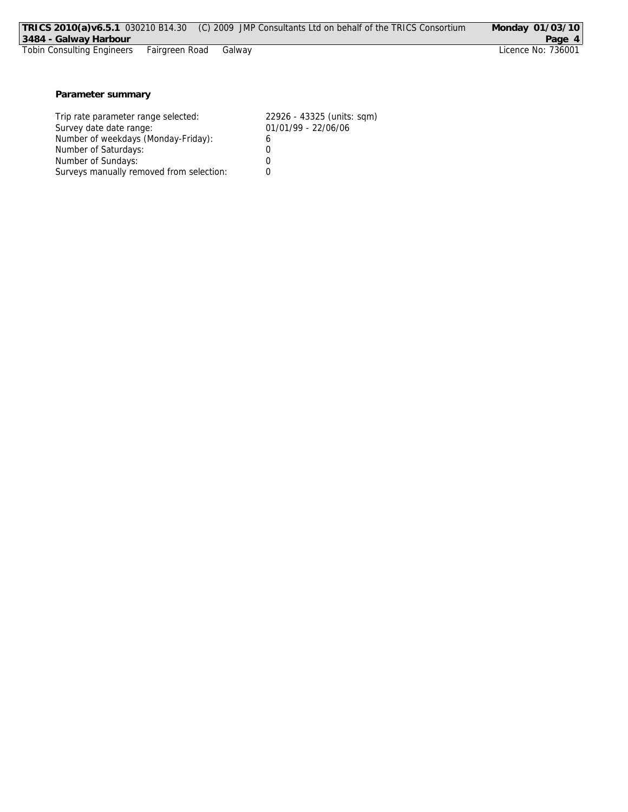| TRICS 2010(a) v6.5.1 030210 B14.30<br>3484 - Galway Harbour   | (C) 2009 JMP Consultants Ltd on behalf of the TRICS Consortium | Monday 01/03/10<br>Page 4 |
|---------------------------------------------------------------|----------------------------------------------------------------|---------------------------|
| <b>Tobin Consulting Engineers</b><br>Fairgreen Road<br>Galway |                                                                | Licence No: 736001        |
|                                                               |                                                                |                           |
|                                                               |                                                                |                           |
|                                                               |                                                                |                           |
| Parameter summary                                             |                                                                |                           |
|                                                               |                                                                |                           |
| Trip rate parameter range selected:                           | 22926 - 43325 (units: sqm)                                     |                           |
| Survey date date range:                                       | 01/01/99 - 22/06/06                                            |                           |
|                                                               |                                                                |                           |
| Number of weekdays (Monday-Friday):                           | 6                                                              |                           |
| Number of Saturdays:                                          |                                                                |                           |

Number of Sundays: 0 Surveys manually removed from selection: 0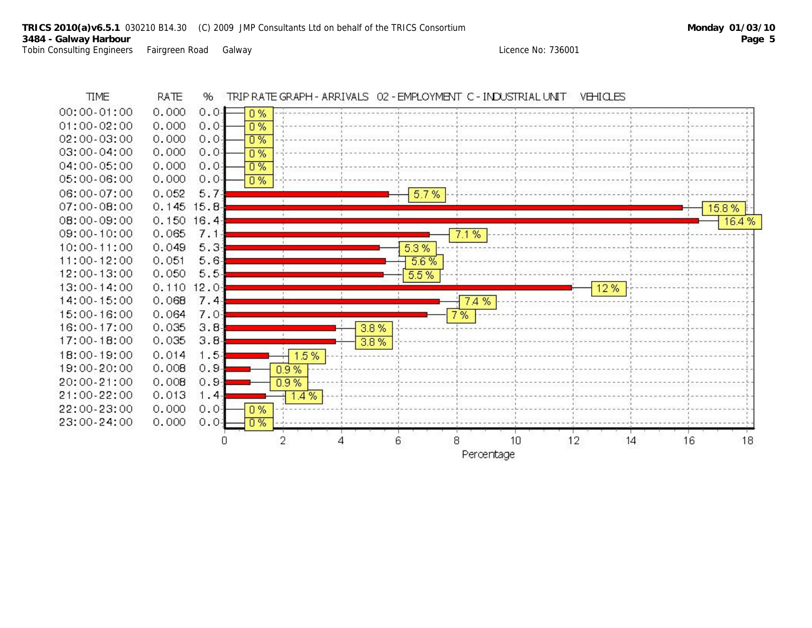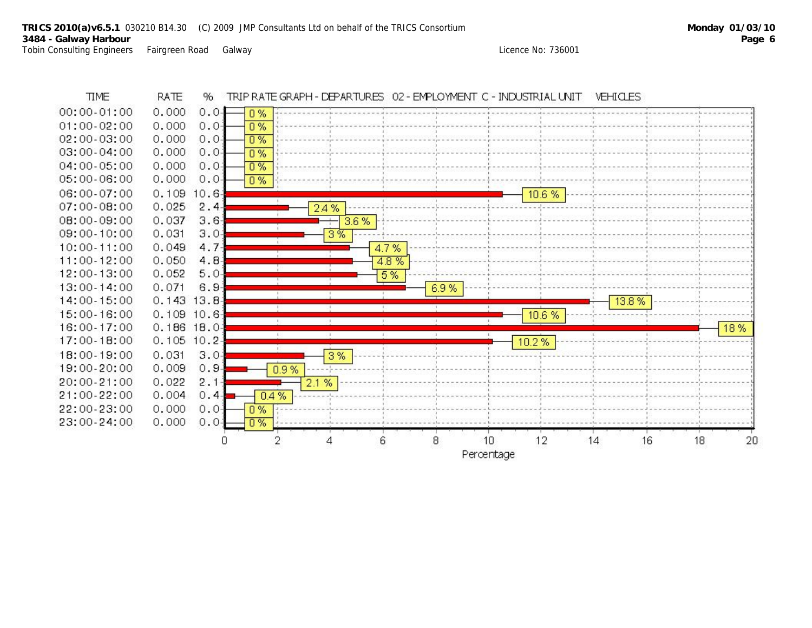